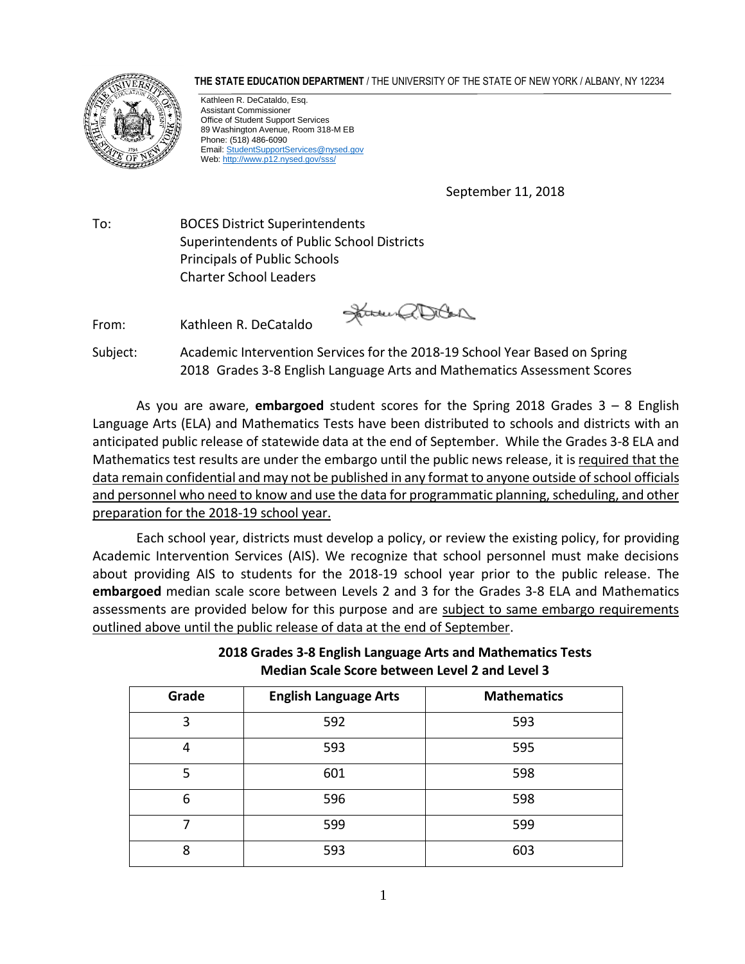**THE STATE EDUCATION DEPARTMENT** / THE UNIVERSITY OF THE STATE OF NEW YORK / ALBANY, NY 12234



Kathleen R. DeCataldo, Esq. Assistant Commissioner Office of Student Support Services 89 Washington Avenue, Room 318-M EB Phone: (518) 486-6090 Email[: StudentSupportServices@nysed.gov](mailto:StudentSupportServices@nysed.gov)  Web: http://www.p12.nysed.gov/sss/

September 11, 2018

To: BOCES District Superintendents Superintendents of Public School Districts Principals of Public Schools Charter School Leaders

From: Kathleen R. DeCataldo

James aller

Subject: Academic Intervention Services for the 2018-19 School Year Based on Spring 2018 Grades 3-8 English Language Arts and Mathematics Assessment Scores

 Language Arts (ELA) and Mathematics Tests have been distributed to schools and districts with an anticipated public release of statewide data at the end of September. While the Grades 3-8 ELA and Mathematics test results are under the embargo until the public news release, it is required that the data remain confidential and may not be published in any format to anyone outside of school officials and personnel who need to know and use the data for programmatic planning, scheduling, and other preparation for the 2018-19 school year. As you are aware, **embargoed** student scores for the Spring 2018 Grades 3 – 8 English

 Each school year, districts must develop a policy, or review the existing policy, for providing Academic Intervention Services (AIS). We recognize that school personnel must make decisions about providing AIS to students for the 2018-19 school year prior to the public release. The **embargoed** median scale score between Levels 2 and 3 for the Grades 3-8 ELA and Mathematics assessments are provided below for this purpose and are subject to same embargo requirements outlined above until the public release of data at the end of September.

> **2018 Grades 3-8 English Language Arts and Mathematics Tests Median Scale Score between Level 2 and Level 3**

| Grade | <b>English Language Arts</b> | <b>Mathematics</b> |
|-------|------------------------------|--------------------|
| 3     | 592                          | 593                |
| 4     | 593                          | 595                |
| 5     | 601                          | 598                |
| 6     | 596                          | 598                |
|       | 599                          | 599                |
| 8     | 593                          | 603                |